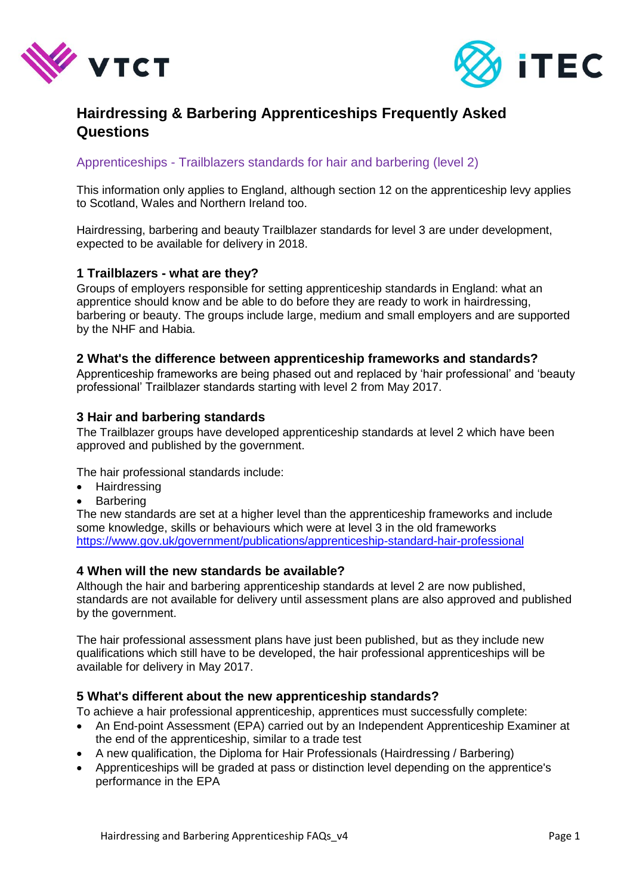



# **Hairdressing & Barbering Apprenticeships Frequently Asked Questions**

# Apprenticeships - Trailblazers standards for hair and barbering (level 2)

This information only applies to England, although section 12 on the apprenticeship levy applies to Scotland, Wales and Northern Ireland too.

Hairdressing, barbering and beauty Trailblazer standards for level 3 are under development, expected to be available for delivery in 2018.

# **1 Trailblazers - what are they?**

Groups of employers responsible for setting apprenticeship standards in England: what an apprentice should know and be able to do before they are ready to work in hairdressing, barbering or beauty. The groups include large, medium and small employers and are supported by the NHF and Habia.

#### **2 What's the difference between apprenticeship frameworks and standards?**

Apprenticeship frameworks are being phased out and replaced by 'hair professional' and 'beauty professional' Trailblazer standards starting with level 2 from May 2017.

# **3 Hair and barbering standards**

The Trailblazer groups have developed apprenticeship standards at level 2 which have been approved and published by the government.

The hair professional standards include:

- Hairdressing
- Barbering

The new standards are set at a higher level than the apprenticeship frameworks and include some knowledge, skills or behaviours which were at level 3 in the old frameworks <https://www.gov.uk/government/publications/apprenticeship-standard-hair-professional>

#### **4 When will the new standards be available?**

Although the hair and barbering apprenticeship standards at level 2 are now published, standards are not available for delivery until assessment plans are also approved and published by the government.

The hair professional assessment plans have just been published, but as they include new qualifications which still have to be developed, the hair professional apprenticeships will be available for delivery in May 2017.

#### **5 What's different about the new apprenticeship standards?**

To achieve a hair professional apprenticeship, apprentices must successfully complete:

- An End-point Assessment (EPA) carried out by an Independent Apprenticeship Examiner at the end of the apprenticeship, similar to a trade test
- A new qualification, the Diploma for Hair Professionals (Hairdressing / Barbering)
- Apprenticeships will be graded at pass or distinction level depending on the apprentice's performance in the EPA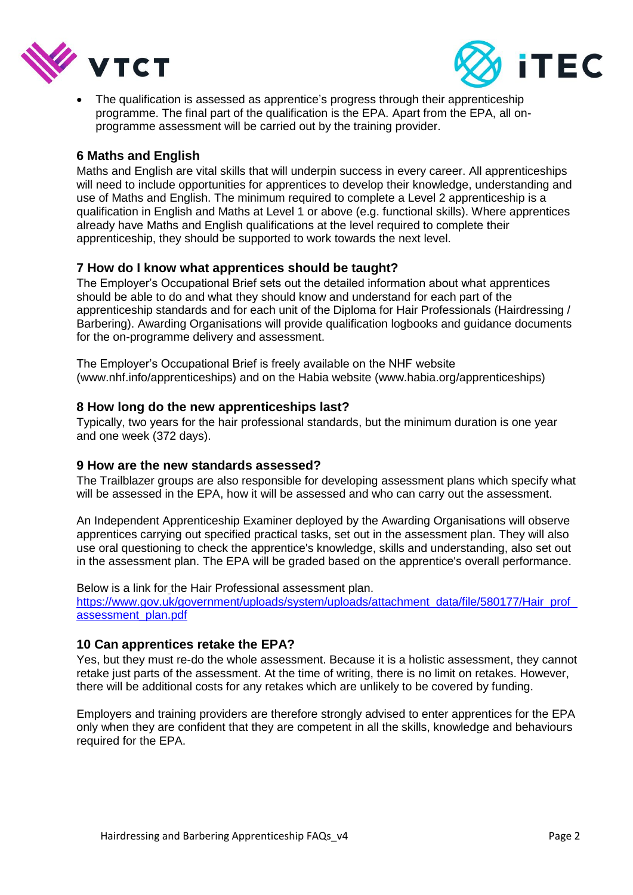



 The qualification is assessed as apprentice's progress through their apprenticeship programme. The final part of the qualification is the EPA. Apart from the EPA, all onprogramme assessment will be carried out by the training provider.

# **6 Maths and English**

Maths and English are vital skills that will underpin success in every career. All apprenticeships will need to include opportunities for apprentices to develop their knowledge, understanding and use of Maths and English. The minimum required to complete a Level 2 apprenticeship is a qualification in English and Maths at Level 1 or above (e.g. functional skills). Where apprentices already have Maths and English qualifications at the level required to complete their apprenticeship, they should be supported to work towards the next level.

# **7 How do I know what apprentices should be taught?**

The Employer's Occupational Brief sets out the detailed information about what apprentices should be able to do and what they should know and understand for each part of the apprenticeship standards and for each unit of the Diploma for Hair Professionals (Hairdressing / Barbering). Awarding Organisations will provide qualification logbooks and quidance documents for the on-programme delivery and assessment.

The Employer's Occupational Brief is freely available on the NHF website (www.nhf.info/apprenticeships) and on the Habia website (www.habia.org/apprenticeships)

#### **8 How long do the new apprenticeships last?**

Typically, two years for the hair professional standards, but the minimum duration is one year and one week (372 days).

#### **9 How are the new standards assessed?**

The Trailblazer groups are also responsible for developing assessment plans which specify what will be assessed in the EPA, how it will be assessed and who can carry out the assessment.

An Independent Apprenticeship Examiner deployed by the Awarding Organisations will observe apprentices carrying out specified practical tasks, set out in the assessment plan. They will also use oral questioning to check the apprentice's knowledge, skills and understanding, also set out in the assessment plan. The EPA will be graded based on the apprentice's overall performance.

Below is a link for the Hair Professional assessment plan. https://www.gov.uk/government/uploads/system/uploads/attachment\_data/file/580177/Hair\_prof [assessment\\_plan.pdf](https://www.gov.uk/government/uploads/system/uploads/attachment_data/file/580177/Hair_prof_assessment_plan.pdf)

#### **10 Can apprentices retake the EPA?**

Yes, but they must re-do the whole assessment. Because it is a holistic assessment, they cannot retake just parts of the assessment. At the time of writing, there is no limit on retakes. However, there will be additional costs for any retakes which are unlikely to be covered by funding.

Employers and training providers are therefore strongly advised to enter apprentices for the EPA only when they are confident that they are competent in all the skills, knowledge and behaviours required for the EPA.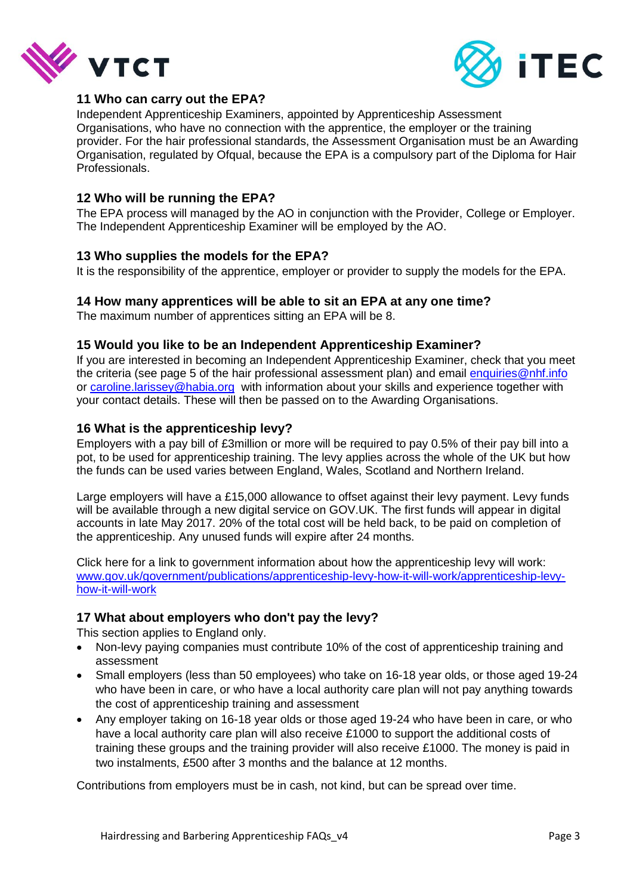



# **11 Who can carry out the EPA?**

Independent Apprenticeship Examiners, appointed by Apprenticeship Assessment Organisations, who have no connection with the apprentice, the employer or the training provider. For the hair professional standards, the Assessment Organisation must be an Awarding Organisation, regulated by Ofqual, because the EPA is a compulsory part of the Diploma for Hair Professionals.

# **12 Who will be running the EPA?**

The EPA process will managed by the AO in conjunction with the Provider, College or Employer. The Independent Apprenticeship Examiner will be employed by the AO.

# **13 Who supplies the models for the EPA?**

It is the responsibility of the apprentice, employer or provider to supply the models for the EPA.

#### **14 How many apprentices will be able to sit an EPA at any one time?**

The maximum number of apprentices sitting an EPA will be 8.

# **15 Would you like to be an Independent Apprenticeship Examiner?**

If you are interested in becoming an Independent Apprenticeship Examiner, check that you meet the criteria (see page 5 of the hair professional assessment plan) and email [enquiries@nhf.info](mailto:enquiries@nhf.info) or [caroline.larissey@habia.org](mailto:caroline.larissey@habia.org) with information about your skills and experience together with your contact details. These will then be passed on to the Awarding Organisations.

# **16 What is the apprenticeship levy?**

Employers with a pay bill of £3million or more will be required to pay 0.5% of their pay bill into a pot, to be used for apprenticeship training. The levy applies across the whole of the UK but how the funds can be used varies between England, Wales, Scotland and Northern Ireland.

Large employers will have a £15,000 allowance to offset against their levy payment. Levy funds will be available through a new digital service on GOV.UK. The first funds will appear in digital accounts in late May 2017. 20% of the total cost will be held back, to be paid on completion of the apprenticeship. Any unused funds will expire after 24 months.

Click here for a link to government information about how the apprenticeship levy will work: [www.gov.uk/government/publications/apprenticeship-levy-how-it-will-work/apprenticeship-levy](http://www.gov.uk/government/publications/apprenticeship-levy-how-it-will-work/apprenticeship-levy-how-it-will-work)[how-it-will-work](http://www.gov.uk/government/publications/apprenticeship-levy-how-it-will-work/apprenticeship-levy-how-it-will-work)

#### **17 What about employers who don't pay the levy?**

This section applies to England only.

- Non-levy paying companies must contribute 10% of the cost of apprenticeship training and assessment
- Small employers (less than 50 employees) who take on 16-18 year olds, or those aged 19-24 who have been in care, or who have a local authority care plan will not pay anything towards the cost of apprenticeship training and assessment
- Any employer taking on 16-18 year olds or those aged 19-24 who have been in care, or who have a local authority care plan will also receive £1000 to support the additional costs of training these groups and the training provider will also receive £1000. The money is paid in two instalments, £500 after 3 months and the balance at 12 months.

Contributions from employers must be in cash, not kind, but can be spread over time.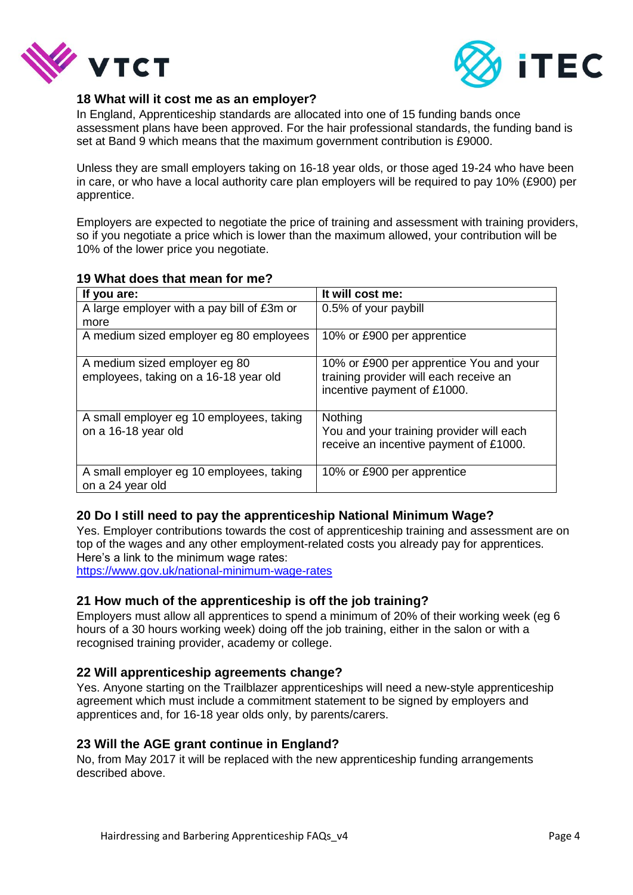



#### **18 What will it cost me as an employer?**

In England, Apprenticeship standards are allocated into one of 15 funding bands once assessment plans have been approved. For the hair professional standards, the funding band is set at Band 9 which means that the maximum government contribution is £9000.

Unless they are small employers taking on 16-18 year olds, or those aged 19-24 who have been in care, or who have a local authority care plan employers will be required to pay 10% (£900) per apprentice.

Employers are expected to negotiate the price of training and assessment with training providers, so if you negotiate a price which is lower than the maximum allowed, your contribution will be 10% of the lower price you negotiate.

# **19 What does that mean for me?**

| If you are:                                                            | It will cost me:                                                                                                 |
|------------------------------------------------------------------------|------------------------------------------------------------------------------------------------------------------|
| A large employer with a pay bill of £3m or                             | 0.5% of your paybill                                                                                             |
| more                                                                   |                                                                                                                  |
| A medium sized employer eg 80 employees                                | 10% or £900 per apprentice                                                                                       |
| A medium sized employer eg 80<br>employees, taking on a 16-18 year old | 10% or £900 per apprentice You and your<br>training provider will each receive an<br>incentive payment of £1000. |
| A small employer eg 10 employees, taking<br>on a 16-18 year old        | Nothing<br>You and your training provider will each<br>receive an incentive payment of £1000.                    |
| A small employer eg 10 employees, taking<br>on a 24 year old           | 10% or £900 per apprentice                                                                                       |

# **20 Do I still need to pay the apprenticeship National Minimum Wage?**

Yes. Employer contributions towards the cost of apprenticeship training and assessment are on top of the wages and any other employment-related costs you already pay for apprentices. Here's a link to the minimum wage rates:

<https://www.gov.uk/national-minimum-wage-rates>

#### **21 How much of the apprenticeship is off the job training?**

Employers must allow all apprentices to spend a minimum of 20% of their working week (eg 6 hours of a 30 hours working week) doing off the job training, either in the salon or with a recognised training provider, academy or college.

#### **22 Will apprenticeship agreements change?**

Yes. Anyone starting on the Trailblazer apprenticeships will need a new-style apprenticeship agreement which must include a commitment statement to be signed by employers and apprentices and, for 16-18 year olds only, by parents/carers.

#### **23 Will the AGE grant continue in England?**

No, from May 2017 it will be replaced with the new apprenticeship funding arrangements described above.